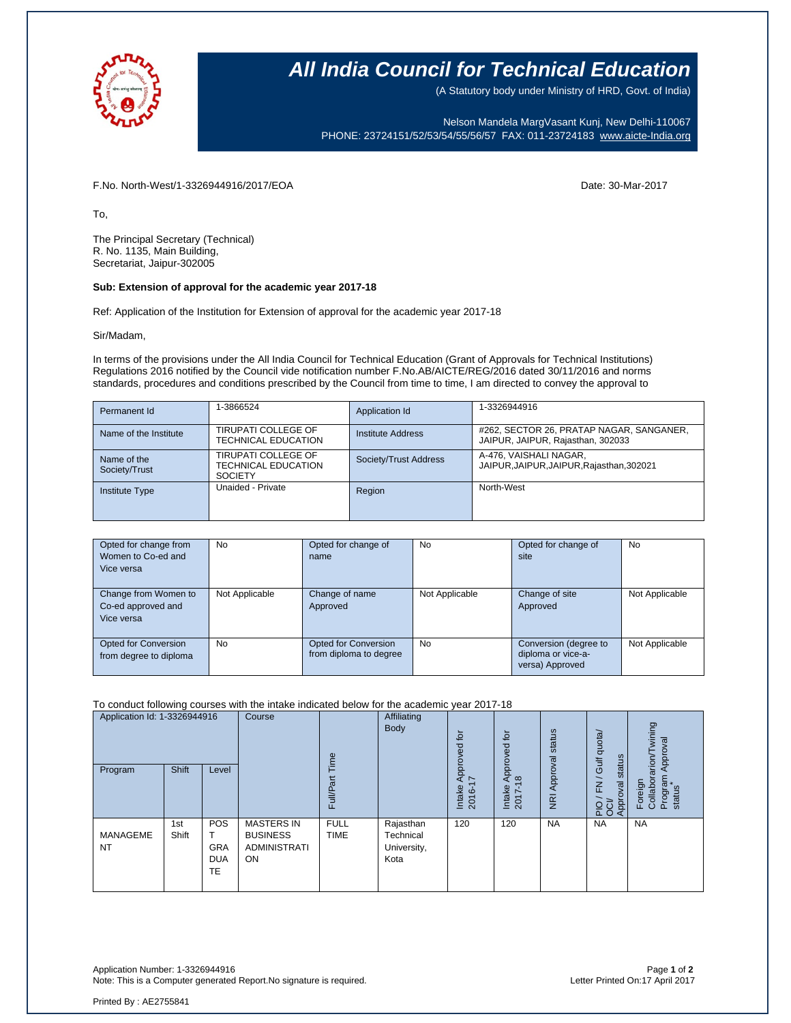

## **All India Council for Technical Education**

(A Statutory body under Ministry of HRD, Govt. of India)

Nelson Mandela MargVasant Kunj, New Delhi-110067 PHONE: 23724151/52/53/54/55/56/57 FAX: 011-23724183 [www.aicte-India.org](http://www.aicte-india.org/)

F.No. North-West/1-3326944916/2017/EOA Date: 30-Mar-2017

To,

The Principal Secretary (Technical) R. No. 1135, Main Building, Secretariat, Jaipur-302005

#### **Sub: Extension of approval for the academic year 2017-18**

Ref: Application of the Institution for Extension of approval for the academic year 2017-18

#### Sir/Madam,

In terms of the provisions under the All India Council for Technical Education (Grant of Approvals for Technical Institutions) Regulations 2016 notified by the Council vide notification number F.No.AB/AICTE/REG/2016 dated 30/11/2016 and norms standards, procedures and conditions prescribed by the Council from time to time, I am directed to convey the approval to

| Permanent Id                 | 1-3866524                                                           | Application Id        | 1-3326944916                                                                  |
|------------------------------|---------------------------------------------------------------------|-----------------------|-------------------------------------------------------------------------------|
| Name of the Institute        | TIRUPATI COLLEGE OF<br><b>TECHNICAL EDUCATION</b>                   | Institute Address     | #262, SECTOR 26, PRATAP NAGAR, SANGANER,<br>JAIPUR, JAIPUR, Rajasthan, 302033 |
| Name of the<br>Society/Trust | TIRUPATI COLLEGE OF<br><b>TECHNICAL EDUCATION</b><br><b>SOCIETY</b> | Society/Trust Address | A-476. VAISHALI NAGAR.<br>JAIPUR, JAIPUR, JAIPUR, Rajasthan, 302021           |
| <b>Institute Type</b>        | Unaided - Private                                                   | Region                | North-West                                                                    |

| Opted for change from  | <b>No</b>      | Opted for change of    | No             | Opted for change of   | No             |
|------------------------|----------------|------------------------|----------------|-----------------------|----------------|
| Women to Co-ed and     |                | name                   |                | site                  |                |
| Vice versa             |                |                        |                |                       |                |
|                        |                |                        |                |                       |                |
| Change from Women to   | Not Applicable | Change of name         | Not Applicable | Change of site        | Not Applicable |
| Co-ed approved and     |                | Approved               |                | Approved              |                |
| Vice versa             |                |                        |                |                       |                |
|                        |                |                        |                |                       |                |
| Opted for Conversion   | <b>No</b>      | Opted for Conversion   | No             | Conversion (degree to | Not Applicable |
| from degree to diploma |                | from diploma to degree |                | diploma or vice-a-    |                |
|                        |                |                        |                | versa) Approved       |                |

#### To conduct following courses with the intake indicated below for the academic year 2017-18

| Application Id: 1-3326944916 |              | Course<br>Time                        | Affiliating<br><b>Body</b>                                               | $\overline{a}$<br>공        | $\overline{p}$<br>꿈<br>ႎ                      | status                     | Gulf quota/                                          | wining<br>Approval         |                                                            |                                                 |
|------------------------------|--------------|---------------------------------------|--------------------------------------------------------------------------|----------------------------|-----------------------------------------------|----------------------------|------------------------------------------------------|----------------------------|------------------------------------------------------------|-------------------------------------------------|
| Program                      | <b>Shift</b> | Level                                 |                                                                          | Full/Part                  |                                               | ă<br>妄<br>Intake<br>2016-1 | ᇗ<br>$\Omega$<br>$\infty$<br>Intake<br>$\sim$<br>201 | Approval<br>$\overline{z}$ | tatus<br>$\omega$<br>$\geq$<br>Approval<br>$2\overline{5}$ | Collaborarion/T<br>Program<br>status<br>Foreign |
| <b>MANAGEME</b><br><b>NT</b> | 1st<br>Shift | POS<br><b>GRA</b><br><b>DUA</b><br>TE | <b>MASTERS IN</b><br><b>BUSINESS</b><br><b>ADMINISTRATI</b><br><b>ON</b> | <b>FULL</b><br><b>TIME</b> | Rajasthan<br>Technical<br>University,<br>Kota | 120                        | 120                                                  | <b>NA</b>                  | <b>NA</b>                                                  | <b>NA</b>                                       |

Application Number: 1-3326944916 Page **1** of **2** Note: This is a Computer generated Report.No signature is required.

Printed By : AE2755841